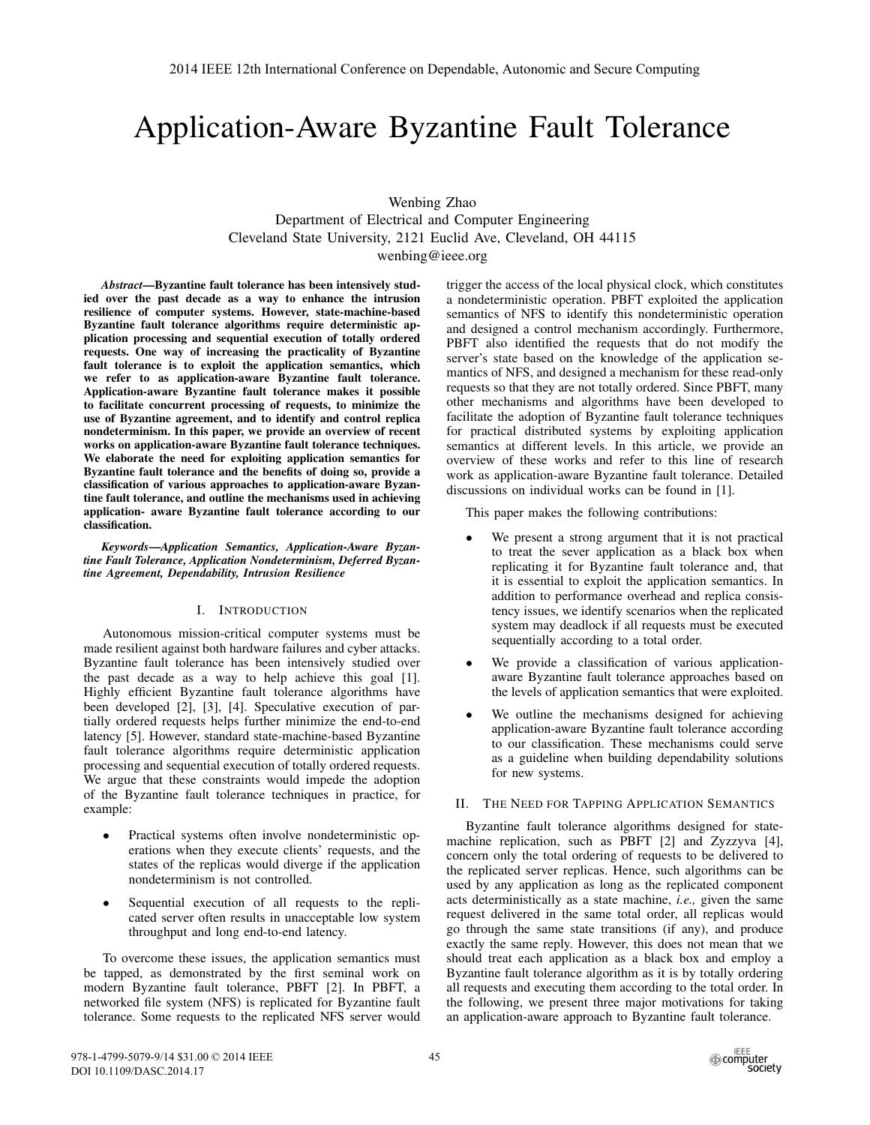# Application-Aware Byzantine Fault Tolerance

Wenbing Zhao Department of Electrical and Computer Engineering Cleveland State University, 2121 Euclid Ave, Cleveland, OH 44115 wenbing@ieee.org

*Abstract*—Byzantine fault tolerance has been intensively studied over the past decade as a way to enhance the intrusion resilience of computer systems. However, state-machine-based Byzantine fault tolerance algorithms require deterministic application processing and sequential execution of totally ordered requests. One way of increasing the practicality of Byzantine fault tolerance is to exploit the application semantics, which we refer to as application-aware Byzantine fault tolerance. Application-aware Byzantine fault tolerance makes it possible to facilitate concurrent processing of requests, to minimize the use of Byzantine agreement, and to identify and control replica nondeterminism. In this paper, we provide an overview of recent works on application-aware Byzantine fault tolerance techniques. We elaborate the need for exploiting application semantics for Byzantine fault tolerance and the benefits of doing so, provide a classification of various approaches to application-aware Byzantine fault tolerance, and outline the mechanisms used in achieving application- aware Byzantine fault tolerance according to our classification.

*Keywords*—*Application Semantics, Application-Aware Byzantine Fault Tolerance, Application Nondeterminism, Deferred Byzantine Agreement, Dependability, Intrusion Resilience*

# I. INTRODUCTION

Autonomous mission-critical computer systems must be made resilient against both hardware failures and cyber attacks. Byzantine fault tolerance has been intensively studied over the past decade as a way to help achieve this goal [1]. Highly efficient Byzantine fault tolerance algorithms have been developed [2], [3], [4]. Speculative execution of partially ordered requests helps further minimize the end-to-end latency [5]. However, standard state-machine-based Byzantine fault tolerance algorithms require deterministic application processing and sequential execution of totally ordered requests. We argue that these constraints would impede the adoption of the Byzantine fault tolerance techniques in practice, for example:

- Practical systems often involve nondeterministic operations when they execute clients' requests, and the states of the replicas would diverge if the application nondeterminism is not controlled.
- Sequential execution of all requests to the replicated server often results in unacceptable low system throughput and long end-to-end latency.

To overcome these issues, the application semantics must be tapped, as demonstrated by the first seminal work on modern Byzantine fault tolerance, PBFT [2]. In PBFT, a networked file system (NFS) is replicated for Byzantine fault tolerance. Some requests to the replicated NFS server would trigger the access of the local physical clock, which constitutes a nondeterministic operation. PBFT exploited the application semantics of NFS to identify this nondeterministic operation and designed a control mechanism accordingly. Furthermore, PBFT also identified the requests that do not modify the server's state based on the knowledge of the application semantics of NFS, and designed a mechanism for these read-only requests so that they are not totally ordered. Since PBFT, many other mechanisms and algorithms have been developed to facilitate the adoption of Byzantine fault tolerance techniques for practical distributed systems by exploiting application semantics at different levels. In this article, we provide an overview of these works and refer to this line of research work as application-aware Byzantine fault tolerance. Detailed discussions on individual works can be found in [1].

This paper makes the following contributions:

- We present a strong argument that it is not practical to treat the sever application as a black box when replicating it for Byzantine fault tolerance and, that it is essential to exploit the application semantics. In addition to performance overhead and replica consistency issues, we identify scenarios when the replicated system may deadlock if all requests must be executed sequentially according to a total order.
- We provide a classification of various applicationaware Byzantine fault tolerance approaches based on the levels of application semantics that were exploited.
- We outline the mechanisms designed for achieving application-aware Byzantine fault tolerance according to our classification. These mechanisms could serve as a guideline when building dependability solutions for new systems.

## II. THE NEED FOR TAPPING APPLICATION SEMANTICS

Byzantine fault tolerance algorithms designed for statemachine replication, such as PBFT [2] and Zyzzyva [4], concern only the total ordering of requests to be delivered to the replicated server replicas. Hence, such algorithms can be used by any application as long as the replicated component acts deterministically as a state machine, *i.e.,* given the same request delivered in the same total order, all replicas would go through the same state transitions (if any), and produce exactly the same reply. However, this does not mean that we should treat each application as a black box and employ a Byzantine fault tolerance algorithm as it is by totally ordering all requests and executing them according to the total order. In the following, we present three major motivations for taking an application-aware approach to Byzantine fault tolerance.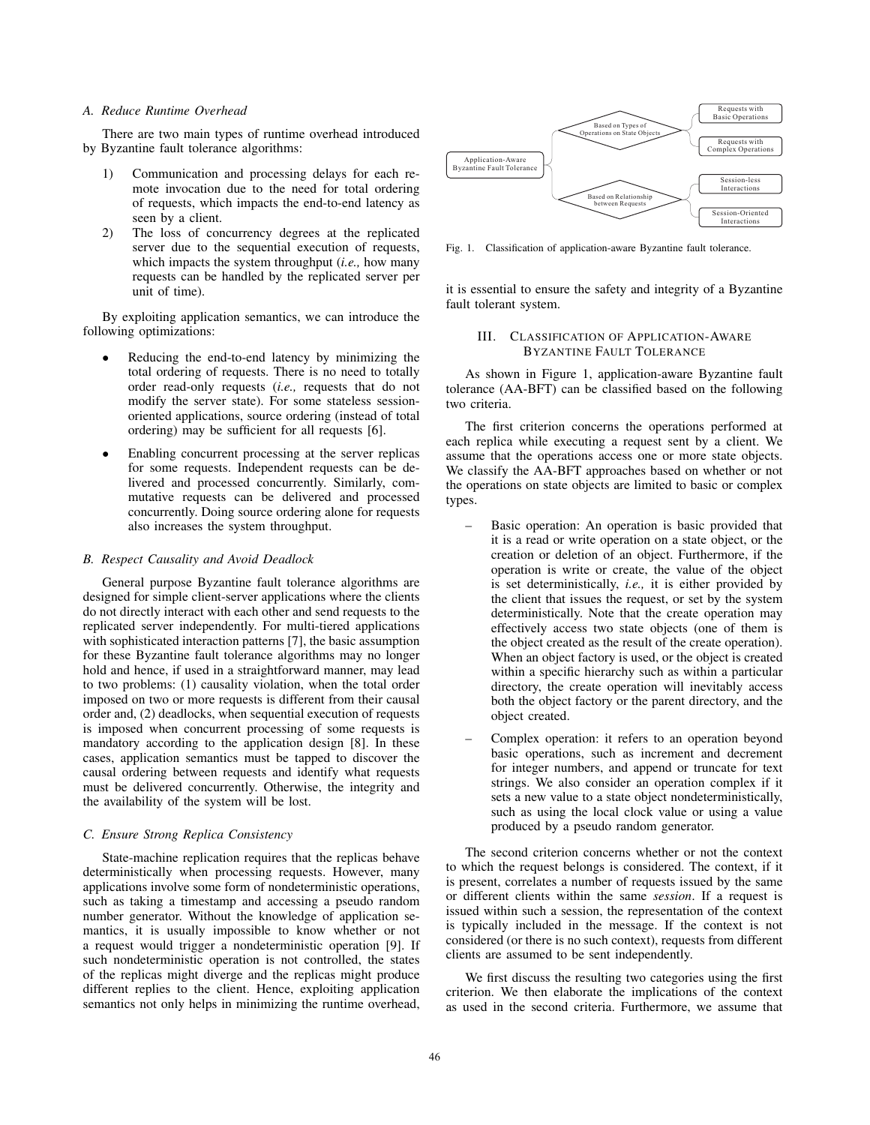## *A. Reduce Runtime Overhead*

There are two main types of runtime overhead introduced by Byzantine fault tolerance algorithms:

- 1) Communication and processing delays for each remote invocation due to the need for total ordering of requests, which impacts the end-to-end latency as seen by a client.
- 2) The loss of concurrency degrees at the replicated server due to the sequential execution of requests, which impacts the system throughput (*i.e.,* how many requests can be handled by the replicated server per unit of time).

By exploiting application semantics, we can introduce the following optimizations:

- Reducing the end-to-end latency by minimizing the total ordering of requests. There is no need to totally order read-only requests (*i.e.,* requests that do not modify the server state). For some stateless sessionoriented applications, source ordering (instead of total ordering) may be sufficient for all requests [6].
- Enabling concurrent processing at the server replicas for some requests. Independent requests can be delivered and processed concurrently. Similarly, commutative requests can be delivered and processed concurrently. Doing source ordering alone for requests also increases the system throughput.

## *B. Respect Causality and Avoid Deadlock*

General purpose Byzantine fault tolerance algorithms are designed for simple client-server applications where the clients do not directly interact with each other and send requests to the replicated server independently. For multi-tiered applications with sophisticated interaction patterns [7], the basic assumption for these Byzantine fault tolerance algorithms may no longer hold and hence, if used in a straightforward manner, may lead to two problems: (1) causality violation, when the total order imposed on two or more requests is different from their causal order and, (2) deadlocks, when sequential execution of requests is imposed when concurrent processing of some requests is mandatory according to the application design [8]. In these cases, application semantics must be tapped to discover the causal ordering between requests and identify what requests must be delivered concurrently. Otherwise, the integrity and the availability of the system will be lost.

## *C. Ensure Strong Replica Consistency*

State-machine replication requires that the replicas behave deterministically when processing requests. However, many applications involve some form of nondeterministic operations, such as taking a timestamp and accessing a pseudo random number generator. Without the knowledge of application semantics, it is usually impossible to know whether or not a request would trigger a nondeterministic operation [9]. If such nondeterministic operation is not controlled, the states of the replicas might diverge and the replicas might produce different replies to the client. Hence, exploiting application semantics not only helps in minimizing the runtime overhead,



Fig. 1. Classification of application-aware Byzantine fault tolerance.

it is essential to ensure the safety and integrity of a Byzantine fault tolerant system.

## III. CLASSIFICATION OF APPLICATION-AWARE BYZANTINE FAULT TOLERANCE

As shown in Figure 1, application-aware Byzantine fault tolerance (AA-BFT) can be classified based on the following two criteria.

The first criterion concerns the operations performed at each replica while executing a request sent by a client. We assume that the operations access one or more state objects. We classify the AA-BFT approaches based on whether or not the operations on state objects are limited to basic or complex types.

- Basic operation: An operation is basic provided that it is a read or write operation on a state object, or the creation or deletion of an object. Furthermore, if the operation is write or create, the value of the object is set deterministically, *i.e.,* it is either provided by the client that issues the request, or set by the system deterministically. Note that the create operation may effectively access two state objects (one of them is the object created as the result of the create operation). When an object factory is used, or the object is created within a specific hierarchy such as within a particular directory, the create operation will inevitably access both the object factory or the parent directory, and the object created.
- Complex operation: it refers to an operation beyond basic operations, such as increment and decrement for integer numbers, and append or truncate for text strings. We also consider an operation complex if it sets a new value to a state object nondeterministically, such as using the local clock value or using a value produced by a pseudo random generator.

The second criterion concerns whether or not the context to which the request belongs is considered. The context, if it is present, correlates a number of requests issued by the same or different clients within the same *session*. If a request is issued within such a session, the representation of the context is typically included in the message. If the context is not considered (or there is no such context), requests from different clients are assumed to be sent independently.

We first discuss the resulting two categories using the first criterion. We then elaborate the implications of the context as used in the second criteria. Furthermore, we assume that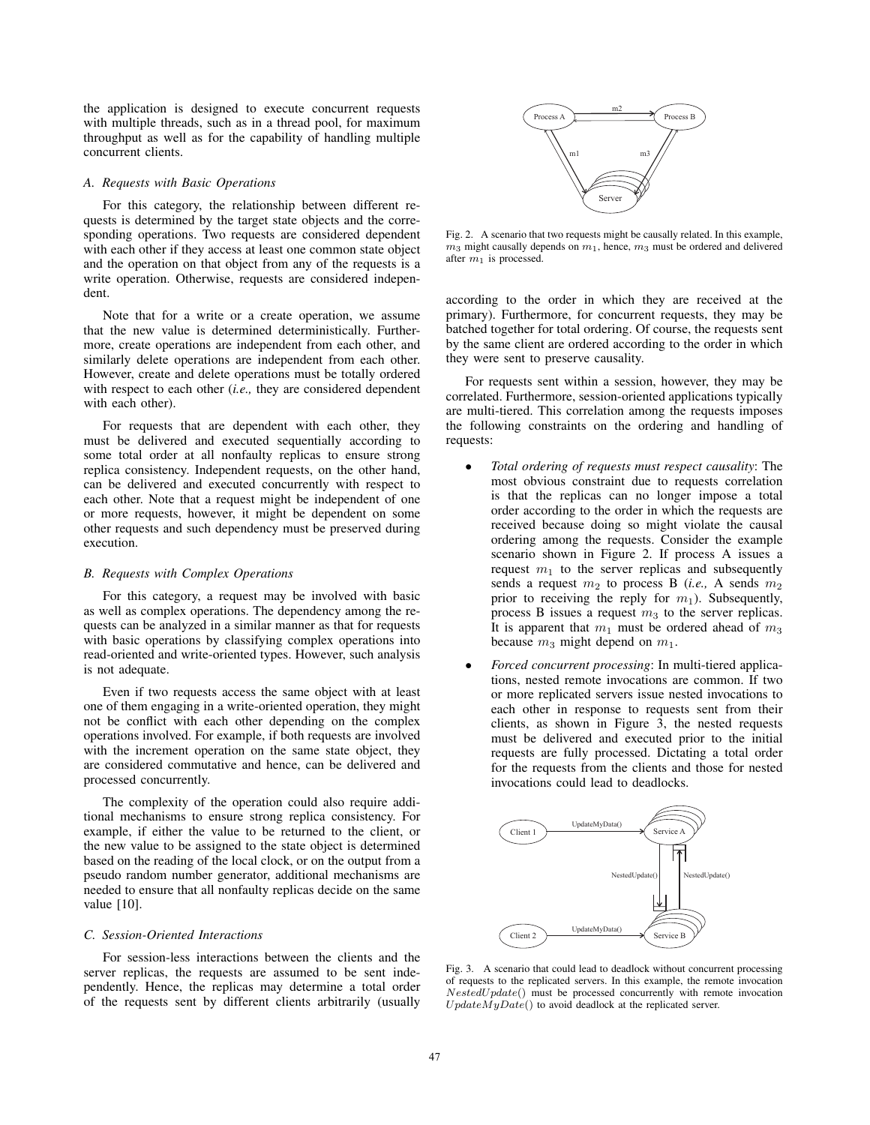the application is designed to execute concurrent requests with multiple threads, such as in a thread pool, for maximum throughput as well as for the capability of handling multiple concurrent clients.

#### *A. Requests with Basic Operations*

For this category, the relationship between different requests is determined by the target state objects and the corresponding operations. Two requests are considered dependent with each other if they access at least one common state object and the operation on that object from any of the requests is a write operation. Otherwise, requests are considered independent.

Note that for a write or a create operation, we assume that the new value is determined deterministically. Furthermore, create operations are independent from each other, and similarly delete operations are independent from each other. However, create and delete operations must be totally ordered with respect to each other (*i.e.,* they are considered dependent with each other).

For requests that are dependent with each other, they must be delivered and executed sequentially according to some total order at all nonfaulty replicas to ensure strong replica consistency. Independent requests, on the other hand, can be delivered and executed concurrently with respect to each other. Note that a request might be independent of one or more requests, however, it might be dependent on some other requests and such dependency must be preserved during execution.

#### *B. Requests with Complex Operations*

For this category, a request may be involved with basic as well as complex operations. The dependency among the requests can be analyzed in a similar manner as that for requests with basic operations by classifying complex operations into read-oriented and write-oriented types. However, such analysis is not adequate.

Even if two requests access the same object with at least one of them engaging in a write-oriented operation, they might not be conflict with each other depending on the complex operations involved. For example, if both requests are involved with the increment operation on the same state object, they are considered commutative and hence, can be delivered and processed concurrently.

The complexity of the operation could also require additional mechanisms to ensure strong replica consistency. For example, if either the value to be returned to the client, or the new value to be assigned to the state object is determined based on the reading of the local clock, or on the output from a pseudo random number generator, additional mechanisms are needed to ensure that all nonfaulty replicas decide on the same value [10].

## *C. Session-Oriented Interactions*

For session-less interactions between the clients and the server replicas, the requests are assumed to be sent independently. Hence, the replicas may determine a total order of the requests sent by different clients arbitrarily (usually



Fig. 2. A scenario that two requests might be causally related. In this example,  $m_3$  might causally depends on  $m_1$ , hence,  $m_3$  must be ordered and delivered after  $m_1$  is processed.

according to the order in which they are received at the primary). Furthermore, for concurrent requests, they may be batched together for total ordering. Of course, the requests sent by the same client are ordered according to the order in which they were sent to preserve causality.

For requests sent within a session, however, they may be correlated. Furthermore, session-oriented applications typically are multi-tiered. This correlation among the requests imposes the following constraints on the ordering and handling of requests:

- *Total ordering of requests must respect causality*: The most obvious constraint due to requests correlation is that the replicas can no longer impose a total order according to the order in which the requests are received because doing so might violate the causal ordering among the requests. Consider the example scenario shown in Figure 2. If process A issues a request  $m_1$  to the server replicas and subsequently sends a request  $m_2$  to process B (*i.e.*, A sends  $m_2$ prior to receiving the reply for  $m_1$ ). Subsequently, process B issues a request  $m_3$  to the server replicas. It is apparent that  $m_1$  must be ordered ahead of  $m_3$ because  $m_3$  might depend on  $m_1$ .
- *Forced concurrent processing*: In multi-tiered applications, nested remote invocations are common. If two or more replicated servers issue nested invocations to each other in response to requests sent from their clients, as shown in Figure  $\overline{3}$ , the nested requests must be delivered and executed prior to the initial requests are fully processed. Dictating a total order for the requests from the clients and those for nested invocations could lead to deadlocks.



Fig. 3. A scenario that could lead to deadlock without concurrent processing of requests to the replicated servers. In this example, the remote invocation NestedUpdate() must be processed concurrently with remote invocation  $UpdateMyDate()$  to avoid deadlock at the replicated server.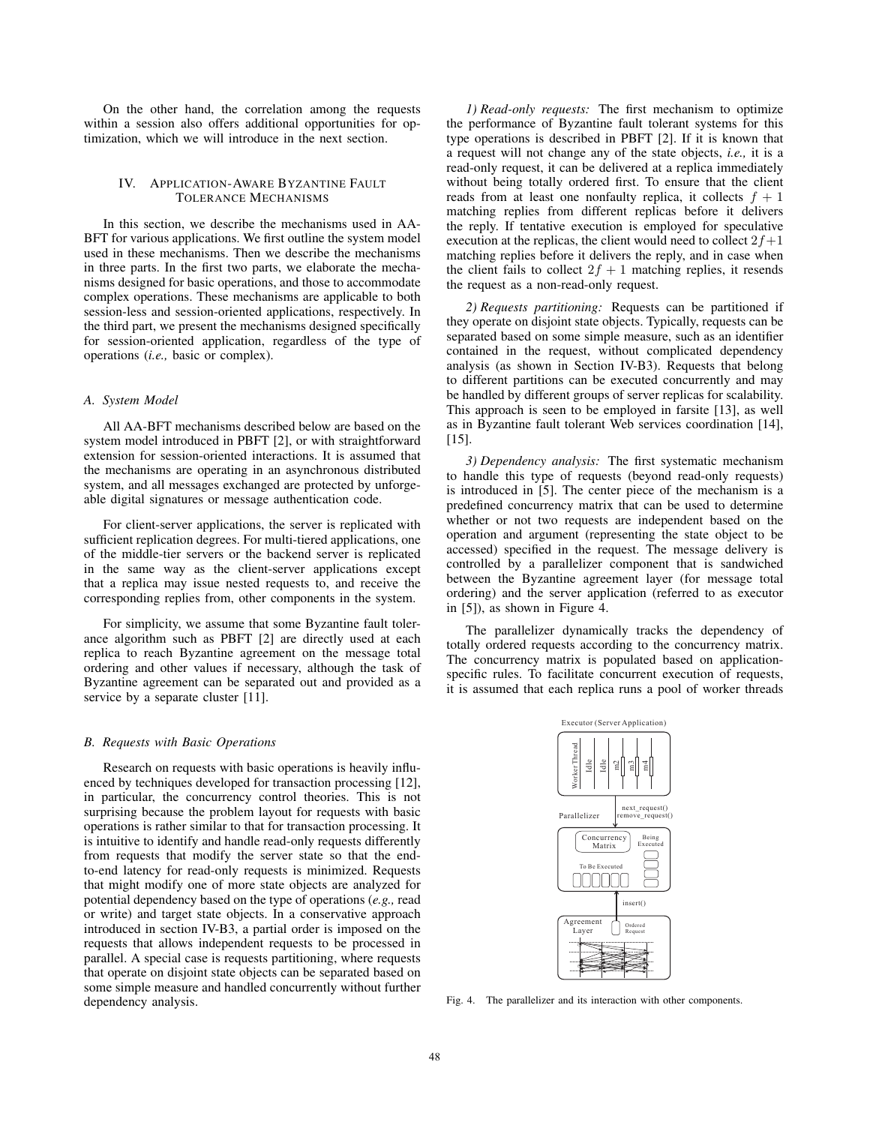On the other hand, the correlation among the requests within a session also offers additional opportunities for optimization, which we will introduce in the next section.

## IV. APPLICATION-AWARE BYZANTINE FAULT TOLERANCE MECHANISMS

In this section, we describe the mechanisms used in AA-BFT for various applications. We first outline the system model used in these mechanisms. Then we describe the mechanisms in three parts. In the first two parts, we elaborate the mechanisms designed for basic operations, and those to accommodate complex operations. These mechanisms are applicable to both session-less and session-oriented applications, respectively. In the third part, we present the mechanisms designed specifically for session-oriented application, regardless of the type of operations (*i.e.,* basic or complex).

#### *A. System Model*

All AA-BFT mechanisms described below are based on the system model introduced in PBFT [2], or with straightforward extension for session-oriented interactions. It is assumed that the mechanisms are operating in an asynchronous distributed system, and all messages exchanged are protected by unforgeable digital signatures or message authentication code.

For client-server applications, the server is replicated with sufficient replication degrees. For multi-tiered applications, one of the middle-tier servers or the backend server is replicated in the same way as the client-server applications except that a replica may issue nested requests to, and receive the corresponding replies from, other components in the system.

For simplicity, we assume that some Byzantine fault tolerance algorithm such as PBFT [2] are directly used at each replica to reach Byzantine agreement on the message total ordering and other values if necessary, although the task of Byzantine agreement can be separated out and provided as a service by a separate cluster [11].

## *B. Requests with Basic Operations*

Research on requests with basic operations is heavily influenced by techniques developed for transaction processing [12], in particular, the concurrency control theories. This is not surprising because the problem layout for requests with basic operations is rather similar to that for transaction processing. It is intuitive to identify and handle read-only requests differently from requests that modify the server state so that the endto-end latency for read-only requests is minimized. Requests that might modify one of more state objects are analyzed for potential dependency based on the type of operations (*e.g.,* read or write) and target state objects. In a conservative approach introduced in section IV-B3, a partial order is imposed on the requests that allows independent requests to be processed in parallel. A special case is requests partitioning, where requests that operate on disjoint state objects can be separated based on some simple measure and handled concurrently without further dependency analysis.

*1) Read-only requests:* The first mechanism to optimize the performance of Byzantine fault tolerant systems for this type operations is described in PBFT [2]. If it is known that a request will not change any of the state objects, *i.e.,* it is a read-only request, it can be delivered at a replica immediately without being totally ordered first. To ensure that the client reads from at least one nonfaulty replica, it collects  $f + 1$ matching replies from different replicas before it delivers the reply. If tentative execution is employed for speculative execution at the replicas, the client would need to collect  $2f+1$ matching replies before it delivers the reply, and in case when the client fails to collect  $2f + 1$  matching replies, it resends the request as a non-read-only request.

*2) Requests partitioning:* Requests can be partitioned if they operate on disjoint state objects. Typically, requests can be separated based on some simple measure, such as an identifier contained in the request, without complicated dependency analysis (as shown in Section IV-B3). Requests that belong to different partitions can be executed concurrently and may be handled by different groups of server replicas for scalability. This approach is seen to be employed in farsite [13], as well as in Byzantine fault tolerant Web services coordination [14], [15].

*3) Dependency analysis:* The first systematic mechanism to handle this type of requests (beyond read-only requests) is introduced in [5]. The center piece of the mechanism is a predefined concurrency matrix that can be used to determine whether or not two requests are independent based on the operation and argument (representing the state object to be accessed) specified in the request. The message delivery is controlled by a parallelizer component that is sandwiched between the Byzantine agreement layer (for message total ordering) and the server application (referred to as executor in  $[5]$ ), as shown in Figure 4.

The parallelizer dynamically tracks the dependency of totally ordered requests according to the concurrency matrix. The concurrency matrix is populated based on applicationspecific rules. To facilitate concurrent execution of requests, it is assumed that each replica runs a pool of worker threads



Fig. 4. The parallelizer and its interaction with other components.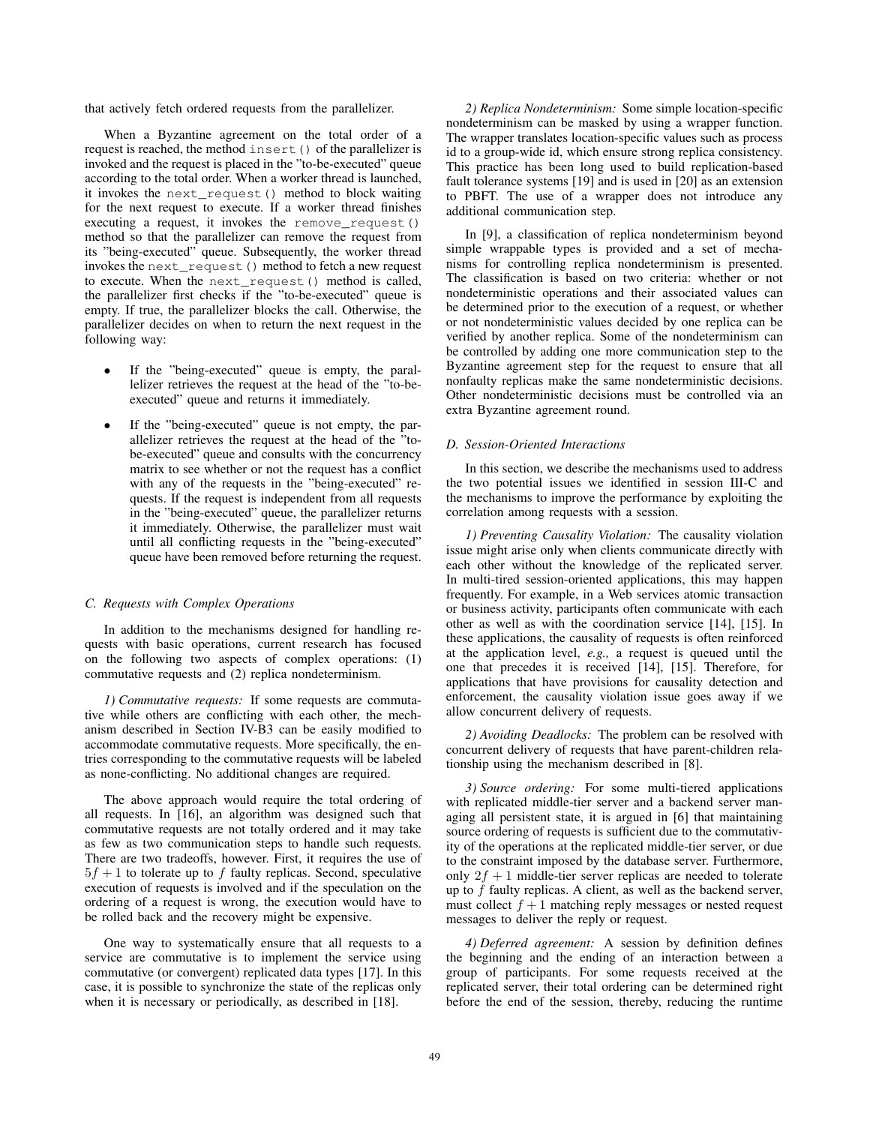that actively fetch ordered requests from the parallelizer.

When a Byzantine agreement on the total order of a request is reached, the method insert() of the parallelizer is invoked and the request is placed in the "to-be-executed" queue according to the total order. When a worker thread is launched, it invokes the next\_request() method to block waiting for the next request to execute. If a worker thread finishes executing a request, it invokes the remove\_request() method so that the parallelizer can remove the request from its "being-executed" queue. Subsequently, the worker thread invokes the next\_request() method to fetch a new request to execute. When the next\_request() method is called, the parallelizer first checks if the "to-be-executed" queue is empty. If true, the parallelizer blocks the call. Otherwise, the parallelizer decides on when to return the next request in the following way:

- If the "being-executed" queue is empty, the parallelizer retrieves the request at the head of the "to-beexecuted" queue and returns it immediately.
- If the "being-executed" queue is not empty, the parallelizer retrieves the request at the head of the "tobe-executed" queue and consults with the concurrency matrix to see whether or not the request has a conflict with any of the requests in the "being-executed" requests. If the request is independent from all requests in the "being-executed" queue, the parallelizer returns it immediately. Otherwise, the parallelizer must wait until all conflicting requests in the "being-executed" queue have been removed before returning the request.

#### *C. Requests with Complex Operations*

In addition to the mechanisms designed for handling requests with basic operations, current research has focused on the following two aspects of complex operations: (1) commutative requests and (2) replica nondeterminism.

*1) Commutative requests:* If some requests are commutative while others are conflicting with each other, the mechanism described in Section IV-B3 can be easily modified to accommodate commutative requests. More specifically, the entries corresponding to the commutative requests will be labeled as none-conflicting. No additional changes are required.

The above approach would require the total ordering of all requests. In [16], an algorithm was designed such that commutative requests are not totally ordered and it may take as few as two communication steps to handle such requests. There are two tradeoffs, however. First, it requires the use of  $5f + 1$  to tolerate up to f faulty replicas. Second, speculative execution of requests is involved and if the speculation on the ordering of a request is wrong, the execution would have to be rolled back and the recovery might be expensive.

One way to systematically ensure that all requests to a service are commutative is to implement the service using commutative (or convergent) replicated data types [17]. In this case, it is possible to synchronize the state of the replicas only when it is necessary or periodically, as described in [18].

*2) Replica Nondeterminism:* Some simple location-specific nondeterminism can be masked by using a wrapper function. The wrapper translates location-specific values such as process id to a group-wide id, which ensure strong replica consistency. This practice has been long used to build replication-based fault tolerance systems [19] and is used in [20] as an extension to PBFT. The use of a wrapper does not introduce any additional communication step.

In [9], a classification of replica nondeterminism beyond simple wrappable types is provided and a set of mechanisms for controlling replica nondeterminism is presented. The classification is based on two criteria: whether or not nondeterministic operations and their associated values can be determined prior to the execution of a request, or whether or not nondeterministic values decided by one replica can be verified by another replica. Some of the nondeterminism can be controlled by adding one more communication step to the Byzantine agreement step for the request to ensure that all nonfaulty replicas make the same nondeterministic decisions. Other nondeterministic decisions must be controlled via an extra Byzantine agreement round.

#### *D. Session-Oriented Interactions*

In this section, we describe the mechanisms used to address the two potential issues we identified in session III-C and the mechanisms to improve the performance by exploiting the correlation among requests with a session.

*1) Preventing Causality Violation:* The causality violation issue might arise only when clients communicate directly with each other without the knowledge of the replicated server. In multi-tired session-oriented applications, this may happen frequently. For example, in a Web services atomic transaction or business activity, participants often communicate with each other as well as with the coordination service [14], [15]. In these applications, the causality of requests is often reinforced at the application level, *e.g.,* a request is queued until the one that precedes it is received [14], [15]. Therefore, for applications that have provisions for causality detection and enforcement, the causality violation issue goes away if we allow concurrent delivery of requests.

*2) Avoiding Deadlocks:* The problem can be resolved with concurrent delivery of requests that have parent-children relationship using the mechanism described in [8].

*3) Source ordering:* For some multi-tiered applications with replicated middle-tier server and a backend server managing all persistent state, it is argued in [6] that maintaining source ordering of requests is sufficient due to the commutativity of the operations at the replicated middle-tier server, or due to the constraint imposed by the database server. Furthermore, only  $2f + 1$  middle-tier server replicas are needed to tolerate up to  $\hat{f}$  faulty replicas. A client, as well as the backend server, must collect  $f + 1$  matching reply messages or nested request messages to deliver the reply or request.

*4) Deferred agreement:* A session by definition defines the beginning and the ending of an interaction between a group of participants. For some requests received at the replicated server, their total ordering can be determined right before the end of the session, thereby, reducing the runtime